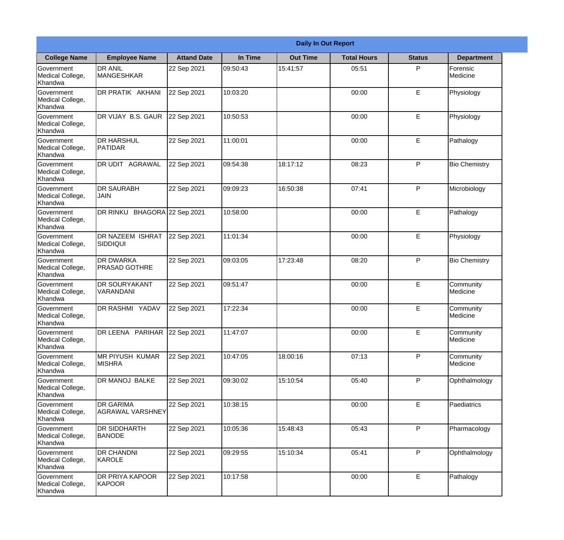|                                                  |                                          | <b>Daily In Out Report</b> |          |                 |                    |               |                              |  |
|--------------------------------------------------|------------------------------------------|----------------------------|----------|-----------------|--------------------|---------------|------------------------------|--|
| <b>College Name</b>                              | <b>Employee Name</b>                     | <b>Attand Date</b>         | In Time  | <b>Out Time</b> | <b>Total Hours</b> | <b>Status</b> | <b>Department</b>            |  |
| Government<br>Medical College,<br>Khandwa        | <b>DR ANIL</b><br><b>MANGESHKAR</b>      | 22 Sep 2021                | 09:50:43 | 15:41:57        | 05:51              | P             | Forensic<br>Medicine         |  |
| Government<br>Medical College,<br>Khandwa        | DR PRATIK AKHANI                         | 22 Sep 2021                | 10:03:20 |                 | 00:00              | E             | Physiology                   |  |
| <b>Government</b><br>Medical College,<br>Khandwa | DR VIJAY B.S. GAUR                       | 22 Sep 2021                | 10:50:53 |                 | 00:00              | E             | Physiology                   |  |
| Government<br>Medical College,<br>Khandwa        | <b>DR HARSHUL</b><br>PATIDAR             | 22 Sep 2021                | 11:00:01 |                 | 00:00              | E             | Pathalogy                    |  |
| Government<br>Medical College,<br>Khandwa        | <b>DR UDIT AGRAWAL</b>                   | 22 Sep 2021                | 09:54:38 | 18:17:12        | 08:23              | P             | <b>Bio Chemistry</b>         |  |
| Government<br>Medical College,<br>Khandwa        | <b>DR SAURABH</b><br><b>JAIN</b>         | 22 Sep 2021                | 09:09:23 | 16:50:38        | 07:41              | P             | Microbiology                 |  |
| Government<br>Medical College,<br>Khandwa        | DR RINKU BHAGORA 22 Sep 2021             |                            | 10:58:00 |                 | 00:00              | E             | Pathalogy                    |  |
| Government<br>Medical College,<br>Khandwa        | DR NAZEEM ISHRAT<br>SIDDIQUI             | 22 Sep 2021                | 11:01:34 |                 | 00:00              | E             | Physiology                   |  |
| Government<br>Medical College,<br>Khandwa        | <b>DR DWARKA</b><br><b>PRASAD GOTHRE</b> | 22 Sep 2021                | 09:03:05 | 17:23:48        | 08:20              | P             | <b>Bio Chemistry</b>         |  |
| Government<br>Medical College,<br>Khandwa        | <b>DR SOURYAKANT</b><br>VARANDANI        | 22 Sep 2021                | 09:51:47 |                 | 00:00              | E             | Community<br><b>Medicine</b> |  |
| Government<br>Medical College,<br>Khandwa        | DR RASHMI YADAV                          | 22 Sep 2021                | 17:22:34 |                 | 00:00              | E             | Community<br>Medicine        |  |
| Government<br>Medical College,<br>Khandwa        | DR LEENA PARIHAR 22 Sep 2021             |                            | 11:47:07 |                 | 00:00              | E             | Community<br>Medicine        |  |
| Government<br>Medical College,<br>Khandwa        | <b>MR PIYUSH KUMAR</b><br><b>MISHRA</b>  | 22 Sep 2021                | 10:47:05 | 18:00:16        | 07:13              | P             | Community<br>Medicine        |  |
| Government<br>Medical College,<br>Khandwa        | DR MANOJ BALKE                           | 22 Sep 2021                | 09:30:02 | 15:10:54        | 05:40              | P             | Ophthalmology                |  |
| Government<br>Medical College,<br>Khandwa        | <b>DR GARIMA</b><br>AGRAWAL VARSHNEY     | 22 Sep 2021                | 10:38:15 |                 | 00:00              | E             | Paediatrics                  |  |
| Government<br>Medical College,<br>Khandwa        | <b>DR SIDDHARTH</b><br><b>BANODE</b>     | 22 Sep 2021                | 10:05:36 | 15:48:43        | 05:43              | P             | Pharmacology                 |  |
| Government<br>Medical College,<br>Khandwa        | <b>DR CHANDNI</b><br>KAROLE              | 22 Sep 2021                | 09:29:55 | 15:10:34        | 05:41              | P             | Ophthalmology                |  |
| Government<br>Medical College,<br>Khandwa        | <b>DR PRIYA KAPOOR</b><br>KAPOOR         | 22 Sep 2021                | 10:17:58 |                 | 00:00              | E             | Pathalogy                    |  |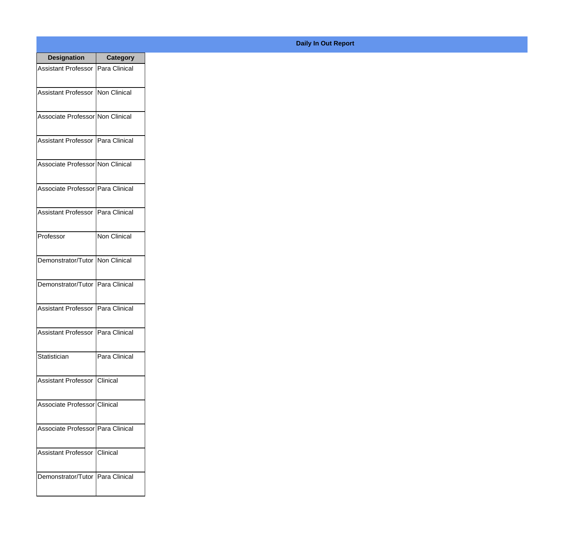| <b>Designation</b>                  | <b>Category</b>     |
|-------------------------------------|---------------------|
| Assistant Professor   Para Clinical |                     |
| Assistant Professor   Non Clinical  |                     |
| Associate Professor Non Clinical    |                     |
| <b>Assistant Professor</b>          | Para Clinical       |
| Associate Professor Non Clinical    |                     |
| Associate Professor Para Clinical   |                     |
| Assistant Professor   Para Clinical |                     |
| Professor                           | <b>Non Clinical</b> |
| Demonstrator/Tutor   Non Clinical   |                     |
| Demonstrator/Tutor                  | Para Clinical       |
| <b>Assistant Professor</b>          | Para Clinical       |
| Assistant Professor   Para Clinical |                     |
| Statistician                        | Para Clinical       |
| Assistant Professor   Clinical      |                     |
| Associate Professor Clinical        |                     |
| Associate Professor Para Clinical   |                     |
| <b>Assistant Professor</b>          | <b>Clinical</b>     |
| Demonstrator/Tutor   Para Clinical  |                     |

## **Daily In Out Report**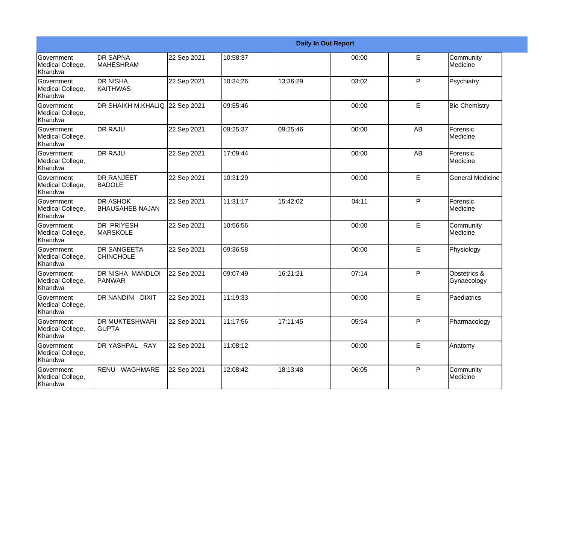| <b>Daily In Out Report</b>                       |                                           |             |          |          |       |             |                             |
|--------------------------------------------------|-------------------------------------------|-------------|----------|----------|-------|-------------|-----------------------------|
| Government<br>Medical College,<br>Khandwa        | <b>DR SAPNA</b><br><b>MAHESHRAM</b>       | 22 Sep 2021 | 10:58:37 |          | 00:00 | E           | Community<br>Medicine       |
| Government<br>Medical College,<br>Khandwa        | <b>DR NISHA</b><br><b>KAITHWAS</b>        | 22 Sep 2021 | 10:34:26 | 13:36:29 | 03:02 | P           | Psychiatry                  |
| <b>Government</b><br>Medical College,<br>Khandwa | DR SHAIKH M.KHALIQ 22 Sep 2021            |             | 09:55:46 |          | 00:00 | E           | <b>Bio Chemistry</b>        |
| Government<br>Medical College,<br>Khandwa        | <b>DR RAJU</b>                            | 22 Sep 2021 | 09:25:37 | 09:25:46 | 00:00 | AB          | Forensic<br>Medicine        |
| Government<br>Medical College,<br>Khandwa        | <b>DR RAJU</b>                            | 22 Sep 2021 | 17:09:44 |          | 00:00 | AB          | Forensic<br>Medicine        |
| Government<br>Medical College,<br>Khandwa        | <b>DR RANJEET</b><br><b>BADOLE</b>        | 22 Sep 2021 | 10:31:29 |          | 00:00 | E           | <b>General Medicine</b>     |
| Government<br>Medical College,<br>Khandwa        | <b>DR ASHOK</b><br><b>BHAUSAHEB NAJAN</b> | 22 Sep 2021 | 11:31:17 | 15:42:02 | 04:11 | P           | Forensic<br>Medicine        |
| Government<br>Medical College,<br>Khandwa        | DR PRIYESH<br><b>MARSKOLE</b>             | 22 Sep 2021 | 10:56:56 |          | 00:00 | E           | Community<br>Medicine       |
| Government<br>Medical College,<br>Khandwa        | <b>DR SANGEETA</b><br><b>CHINCHOLE</b>    | 22 Sep 2021 | 09:36:58 |          | 00:00 | E           | Physiology                  |
| Government<br>Medical College,<br>Khandwa        | DR NISHA MANDLOI<br><b>PANWAR</b>         | 22 Sep 2021 | 09:07:49 | 16:21:21 | 07:14 | P           | Obstetrics &<br>Gynaecology |
| Government<br>Medical College,<br>Khandwa        | <b>DR NANDINI</b><br><b>DIXIT</b>         | 22 Sep 2021 | 11:19:33 |          | 00:00 | E           | Paediatrics                 |
| Government<br>Medical College,<br>Khandwa        | <b>DR MUKTESHWARI</b><br><b>GUPTA</b>     | 22 Sep 2021 | 11:17:56 | 17:11:45 | 05:54 | P           | Pharmacology                |
| Government<br>Medical College,<br>Khandwa        | DR YASHPAL RAY                            | 22 Sep 2021 | 11:08:12 |          | 00:00 | $\mathsf E$ | Anatomy                     |
| Government<br>Medical College,<br>Khandwa        | RENU WAGHMARE                             | 22 Sep 2021 | 12:08:42 | 18:13:48 | 06:05 | P           | Community<br>Medicine       |